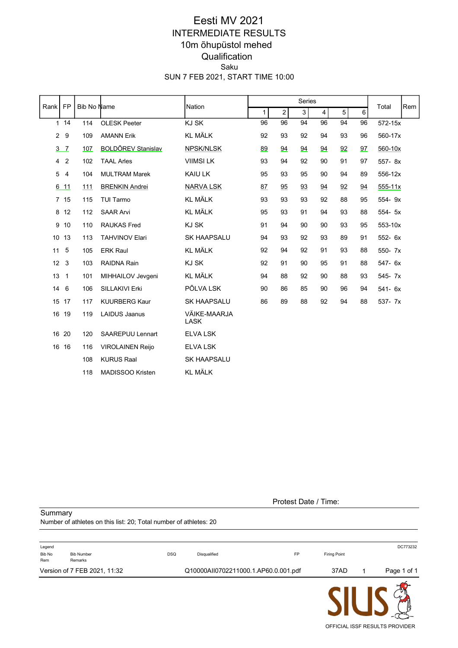## SUN 7 FEB 2021, START TIME 10:00 Saku **Qualification** 10m õhupüstol mehed INTERMEDIATE RESULTS Eesti MV 2021

| Rank           | <b>FP</b>      | Bib No Name |                           | Nation               |              |                | Series |                |                |                | Total       | Rem |
|----------------|----------------|-------------|---------------------------|----------------------|--------------|----------------|--------|----------------|----------------|----------------|-------------|-----|
|                |                |             |                           |                      | $\mathbf{1}$ | $\overline{2}$ | 3      | $\overline{4}$ | $\overline{5}$ | $6\phantom{a}$ |             |     |
|                | 114            | 114         | <b>OLESK Peeter</b>       | KJ SK                | 96           | 96             | 94     | 96             | 94             | 96             | 572-15x     |     |
| $\overline{2}$ | 9              | 109         | <b>AMANN Erik</b>         | <b>KL MÄLK</b>       | 92           | 93             | 92     | 94             | 93             | 96             | 560-17x     |     |
|                | 3 <sub>7</sub> | 107         | <b>BOLDÕREV Stanislav</b> | <b>NPSK/NLSK</b>     | 89           | 94             | 94     | 94             | 92             | 97             | 560-10x     |     |
|                | 4 <sub>2</sub> | 102         | <b>TAAL Arles</b>         | <b>VIIMSI LK</b>     | 93           | 94             | 92     | 90             | 91             | 97             | 557-8x      |     |
| 5              | $\overline{4}$ | 104         | <b>MULTRAM Marek</b>      | KAIU LK              | 95           | 93             | 95     | 90             | 94             | 89             | 556-12x     |     |
|                | 6 11           | 111         | <b>BRENKIN Andrei</b>     | <b>NARVA LSK</b>     | 87           | 95             | 93     | 94             | 92             | 94             | $555 - 11x$ |     |
|                | 7 15           | 115         | TUI Tarmo                 | <b>KL MÄLK</b>       | 93           | 93             | 93     | 92             | 88             | 95             | 554-9x      |     |
|                | 8 12           | 112         | <b>SAAR Arvi</b>          | <b>KL MÄLK</b>       | 95           | 93             | 91     | 94             | 93             | 88             | 554- 5x     |     |
|                | 9 10           | 110         | <b>RAUKAS Fred</b>        | KJ SK                | 91           | 94             | 90     | 90             | 93             | 95             | 553-10x     |     |
|                | 10 13          | 113         | <b>TAHVINOV Elari</b>     | <b>SK HAAPSALU</b>   | 94           | 93             | 92     | 93             | 89             | 91             | 552- 6x     |     |
| 11             | 5              | 105         | <b>ERK Raul</b>           | <b>KL MÄLK</b>       | 92           | 94             | 92     | 91             | 93             | 88             | 550- 7x     |     |
|                | $12 \quad 3$   | 103         | <b>RAIDNA Rain</b>        | KJ SK                | 92           | 91             | 90     | 95             | 91             | 88             | 547- 6x     |     |
|                | $13 \quad 1$   | 101         | MIHHAILOV Jevgeni         | <b>KL MÄLK</b>       | 94           | 88             | 92     | 90             | 88             | 93             | 545- 7x     |     |
| 14             | 6              | 106         | <b>SILLAKIVI Erki</b>     | PÕLVA LSK            | 90           | 86             | 85     | 90             | 96             | 94             | $541 - 6x$  |     |
|                | 15 17          | 117         | <b>KUURBERG Kaur</b>      | <b>SK HAAPSALU</b>   | 86           | 89             | 88     | 92             | 94             | 88             | 537- 7x     |     |
|                | 16 19          | 119         | <b>LAIDUS Jaanus</b>      | VÄIKE-MAARJA<br>LASK |              |                |        |                |                |                |             |     |
|                | 16 20          | 120         | SAAREPUU Lennart          | <b>ELVA LSK</b>      |              |                |        |                |                |                |             |     |
|                | 16 16          | 116         | <b>VIROLAINEN Reijo</b>   | ELVA LSK             |              |                |        |                |                |                |             |     |
|                |                | 108         | <b>KURUS Raal</b>         | <b>SK HAAPSALU</b>   |              |                |        |                |                |                |             |     |
|                |                | 118         | MADISSOO Kristen          | <b>KL MÄLK</b>       |              |                |        |                |                |                |             |     |

Protest Date / Time:

**Summary** Number of athletes on this list: 20; Total number of athletes: 20

|               | Version of 7 FEB 2021, 11:32 |            | Q10000AII0702211000.1.AP60.0.001.pdf |    | 37AD                | Page 1 of 1 |
|---------------|------------------------------|------------|--------------------------------------|----|---------------------|-------------|
| Bib No<br>Rem | <b>Bib Number</b><br>Remarks | <b>DSQ</b> | Disqualified                         | FP | <b>Firing Point</b> |             |
| Legend        |                              |            |                                      |    |                     | DC773232    |

**SIU** OFFICIAL ISSF RESULTS PROVIDER

 $\mathbb{Z}$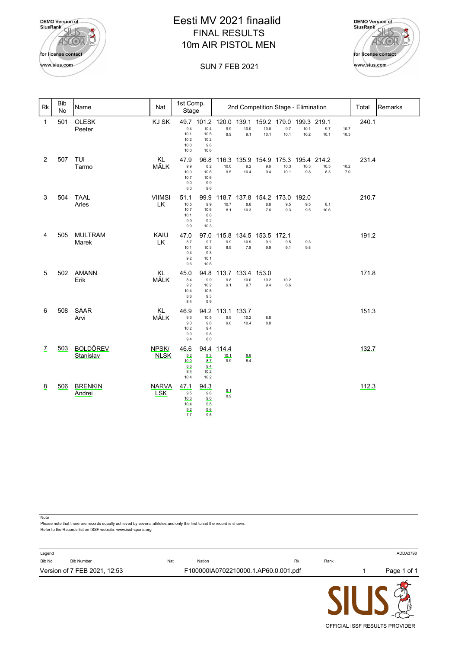| <b>DEMO</b> Version of<br><b>SiusRank</b> |
|-------------------------------------------|
| for license contact                       |
| www.sius.com                              |

# 10m AIR PISTOL MEN FINAL RESULTS Eesti MV 2021 finaalid



OFFICIAL ISSF RESULTS PROVIDER

#### SUN 7 FEB 2021

| Rk             | <b>Bib</b><br>No | Name                         | Nat                        | 1st Comp.<br>Stage                         |                                            | 2nd Competition Stage - Elimination |                                                               |                     |                                       |              |             | Total        | Remarks |  |
|----------------|------------------|------------------------------|----------------------------|--------------------------------------------|--------------------------------------------|-------------------------------------|---------------------------------------------------------------|---------------------|---------------------------------------|--------------|-------------|--------------|---------|--|
| 1              | 501              | <b>OLESK</b><br>Peeter       | KJ SK                      | 9.4<br>10.1<br>10.2<br>10.0<br>10.0        | 10.4<br>10.5<br>10.2<br>9.8<br>10.6        | 9.9<br>8.9                          | 49.7 101.2 120.0 139.1 159.2 179.0 199.3 219.1<br>10.0<br>9.1 | 10.0<br>10.1        | 9.7<br>10.1                           | 10.1<br>10.2 | 9.7<br>10.1 | 10.7<br>10.3 | 240.1   |  |
| 2              | 507              | TUI<br>Tarmo                 | KL<br>MÄLK                 | 47.9<br>9.9<br>10.0<br>10.7<br>9.0<br>8.3  | 96.8<br>8.2<br>10.6<br>10.6<br>9.9<br>9.6  | 116.3<br>10.0<br>9.5                | 135.9<br>9.2<br>10.4                                          | 154.9<br>9.6<br>9.4 | 175.3 195.4 214.2<br>10.3<br>10.1     | 10.3<br>9.8  | 10.5<br>8.3 | 10.2<br>7.0  | 231.4   |  |
| 3              | 504              | <b>TAAL</b><br>Arles         | <b>VIIMSI</b><br>LK        | 51.1<br>10.5<br>10.7<br>10.1<br>9.9<br>9.9 | 99.9<br>9.9<br>10.6<br>8.8<br>9.2<br>10.3  | 118.7<br>10.7<br>8.1                | 8.8<br>10.3                                                   | 8.8<br>7.6          | 137.8 154.2 173.0 192.0<br>9.5<br>9.3 | 9.5<br>9.5   | 8.1<br>10.6 |              | 210.7   |  |
| 4              | 505              | <b>MULTRAM</b><br>Marek      | KAIU<br><b>LK</b>          | 47.0<br>8.7<br>10.1<br>9.4<br>9.2<br>9.6   | 97.0<br>9.7<br>10.3<br>9.3<br>10.1<br>10.6 | 115.8<br>9.9<br>8.9                 | 134.5<br>10.9<br>7.8                                          | 153.5<br>9.1<br>9.9 | 172.1<br>9.5<br>9.1                   | 9.3<br>9.8   |             |              | 191.2   |  |
| 5              | 502              | <b>AMANN</b><br>Erik         | KL<br>MÄLK                 | 45.0<br>8.4<br>9.2<br>10.4<br>8.6<br>8.4   | 94.8<br>9.9<br>10.2<br>10.5<br>9.3<br>9.9  | 113.7<br>9.8<br>9.1                 | 133.4 153.0<br>10.0<br>9.7                                    | 10.2<br>9.4         | 10.2<br>8.6                           |              |             |              | 171.8   |  |
| 6              | 508              | <b>SAAR</b><br>Arvi          | KL<br>MÄLK                 | 46.9<br>9.3<br>9.0<br>10.2<br>9.0<br>9.4   | 94.2<br>10.5<br>9.6<br>9.4<br>9.8<br>8.0   | 113.1<br>9.9<br>9.0                 | 133.7<br>10.2<br>10.4                                         | 8.8<br>8.8          |                                       |              |             |              | 151.3   |  |
| $\overline{L}$ | 503              | <b>BOLDÖREV</b><br>Stanislav | NPSK/<br><b>NLSK</b>       | 46.6<br>9.2<br>10.0<br>8.6<br>8.4<br>10.4  | 94.4<br>9.3<br>8.7<br>9.4<br>10.2<br>10.2  | 114.4<br>10.1<br>9.9                | 9.9<br>8.4                                                    |                     |                                       |              |             |              | 132.7   |  |
| 8              | 506              | <b>BRENKIN</b><br>Andrei     | <b>NARVA</b><br><b>LSK</b> | 47.1<br>9.5<br>10.3<br>10.4<br>9.2<br>7.7  | 94.3<br>9.6<br>9.0<br>9.5<br>9.6<br>9.5    | 9.1<br>8.9                          |                                                               |                     |                                       |              |             |              | 112.3   |  |

**Note** 

Please note that there are records equally achieved by several athletes and only the first to set the record is shown. Refer to the Records list on ISSF website: www.issf-sports.org

| Legend<br>Bib No<br><b>Bib Number</b> | Nat | Nation | <b>Rk</b>                            | Rank | ADDA3798    |
|---------------------------------------|-----|--------|--------------------------------------|------|-------------|
| Version of 7 FEB 2021, 12:53          |     |        | F100000IA0702210000.1.AP60.0.001.pdf |      | Page 1 of 1 |
|                                       |     |        |                                      |      |             |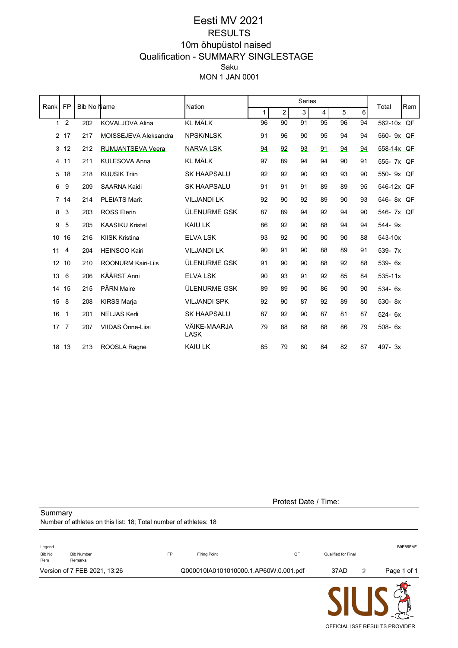## MON 1 JAN 0001 Saku Qualification - SUMMARY SINGLESTAGE 10m õhupüstol naised RESULTS Eesti MV 2021

|                | <b>FP</b><br>Rank<br><b>Bib No Name</b><br>Nation |     |                           | Series                      |              |                |    | Total                   | Rem |    |             |    |
|----------------|---------------------------------------------------|-----|---------------------------|-----------------------------|--------------|----------------|----|-------------------------|-----|----|-------------|----|
|                |                                                   |     |                           |                             | $\mathbf{1}$ | $\overline{2}$ | 3  | $\overline{\mathbf{4}}$ | 5   | 6  |             |    |
| $\mathbf{1}$   | $\overline{2}$                                    | 202 | <b>KOVALJOVA Alina</b>    | <b>KL MÄLK</b>              | 96           | 90             | 91 | 95                      | 96  | 94 | 562-10x QF  |    |
|                | 2 17                                              | 217 | MOISSEJEVA Aleksandra     | <b>NPSK/NLSK</b>            | 91           | 96             | 90 | 95                      | 94  | 94 | 560- 9x QF  |    |
| 3              | 12                                                | 212 | RUMJANTSEVA Veera         | <b>NARVA LSK</b>            | 94           | 92             | 93 | 91                      | 94  | 94 | 558-14x QF  |    |
| 4              | 11                                                | 211 | KULESOVA Anna             | <b>KL MÄLK</b>              | 97           | 89             | 94 | 94                      | 90  | 91 | 555- 7x QF  |    |
| 5              | 18                                                | 218 | <b>KUUSIK Triin</b>       | <b>SK HAAPSALU</b>          | 92           | 92             | 90 | 93                      | 93  | 90 | 550-9x      | QF |
| 6              | 9                                                 | 209 | <b>SAARNA Kaidi</b>       | <b>SK HAAPSALU</b>          | 91           | 91             | 91 | 89                      | 89  | 95 | 546-12x     | QF |
| $\overline{7}$ | 14                                                | 214 | <b>PLEIATS Marit</b>      | <b>VILJANDI LK</b>          | 92           | 90             | 92 | 89                      | 90  | 93 | 546-8x QF   |    |
| 8              | 3                                                 | 203 | <b>ROSS Elerin</b>        | <b>ÜLENURME GSK</b>         | 87           | 89             | 94 | 92                      | 94  | 90 | 546-7x QF   |    |
| 9              | 5                                                 | 205 | <b>KAASIKU Kristel</b>    | KAIU LK                     | 86           | 92             | 90 | 88                      | 94  | 94 | 544-9x      |    |
| 10             | 16                                                | 216 | <b>KIISK Kristina</b>     | <b>ELVA LSK</b>             | 93           | 92             | 90 | 90                      | 90  | 88 | 543-10x     |    |
| 11             | 4                                                 | 204 | <b>HEINSOO Kairi</b>      | <b>VILJANDI LK</b>          | 90           | 91             | 90 | 88                      | 89  | 91 | 539- 7x     |    |
| 12             | 10                                                | 210 | <b>ROONURM Kairi-Liis</b> | ÜLENURME GSK                | 91           | 90             | 90 | 88                      | 92  | 88 | 539- 6x     |    |
| 13             | 6                                                 | 206 | KÄÄRST Anni               | <b>ELVA LSK</b>             | 90           | 93             | 91 | 92                      | 85  | 84 | $535 - 11x$ |    |
| 14             | 15                                                | 215 | PÄRN Maire                | ÜLENURME GSK                | 89           | 89             | 90 | 86                      | 90  | 90 | 534- 6x     |    |
| 15             | 8                                                 | 208 | <b>KIRSS Marja</b>        | <b>VILJANDI SPK</b>         | 92           | 90             | 87 | 92                      | 89  | 80 | 530-8x      |    |
| 16             | $\mathbf{1}$                                      | 201 | <b>NELJAS Kerli</b>       | <b>SK HAAPSALU</b>          | 87           | 92             | 90 | 87                      | 81  | 87 | $524 - 6x$  |    |
| 17             | $\overline{7}$                                    | 207 | VIIDAS Õnne-Liisi         | VÄIKE-MAARJA<br><b>LASK</b> | 79           | 88             | 88 | 88                      | 86  | 79 | $508 - 6x$  |    |
| 18             | 13                                                | 213 | ROOSLA Ragne              | <b>KAIU LK</b>              | 85           | 79             | 80 | 84                      | 82  | 87 | 497-3x      |    |

Protest Date / Time:

Number of athletes on this list: 18; Total number of athletes: 18

**Summary** 

|               |                              |           |                                       |    |                     |               | <b>AIL IA</b> |
|---------------|------------------------------|-----------|---------------------------------------|----|---------------------|---------------|---------------|
|               | Version of 7 FEB 2021, 13:26 |           | Q000010IA0101010000.1.AP60W.0.001.pdf |    | 37AD                | $\mathcal{P}$ | Page 1 of 1   |
| Bib No<br>Rem | <b>Bib Number</b><br>Remarks | <b>FP</b> | Firing Point                          | QF | Qualified for Final |               |               |
| Legend        |                              |           |                                       |    |                     |               | B9E85FAF      |

SIU  $\sum_{i=1}^{n}$ OFFICIAL ISSF RESULTS PROVIDER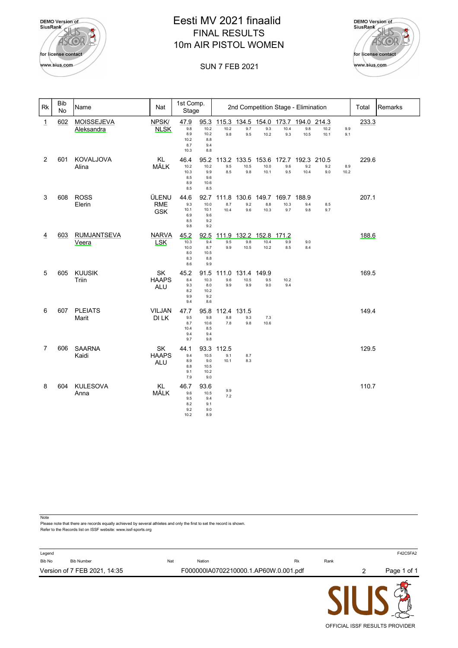

# 10m AIR PISTOL WOMEN FINAL RESULTS Eesti MV 2021 finaalid



OFFICIAL ISSF RESULTS PROVIDER

#### SUN 7 FEB 2021

| <b>Rk</b>      | <b>Bib</b><br><b>No</b> | Name                            | Nat                               | 1st Comp.<br>Stage                        |                                            | 2nd Competition Stage - Elimination |                                                   |                       |                                  |                            |              | Total       | Remarks |  |
|----------------|-------------------------|---------------------------------|-----------------------------------|-------------------------------------------|--------------------------------------------|-------------------------------------|---------------------------------------------------|-----------------------|----------------------------------|----------------------------|--------------|-------------|---------|--|
| $\overline{1}$ | 602                     | <b>MOISSEJEVA</b><br>Aleksandra | NPSK/<br><b>NLSK</b>              | 47.9<br>9.8<br>8.9<br>10.2<br>8.7<br>10.3 | 95.3<br>10.2<br>10.2<br>8.8<br>9.4<br>8.8  | 10.2<br>9.8                         | 115.3 134.5 154.0 173.7 194.0 214.3<br>9.7<br>9.5 | 9.3<br>10.2           | 10.4<br>9.3                      | 9.8<br>10.5                | 10.2<br>10.1 | 9.9<br>9.1  | 233.3   |  |
| 2              | 601                     | <b>KOVALJOVA</b><br>Alina       | <b>KL</b><br>MÄLK                 | 46.4<br>10.2<br>10.3<br>8.5<br>8.9<br>8.5 | 95.2<br>10.2<br>9.9<br>9.6<br>10.6<br>8.5  | 9.5<br>8.5                          | 113.2 133.5<br>10.5<br>9.8                        | 153.6<br>10.0<br>10.1 | 172.7<br>9.6<br>9.5              | 192.3 210.5<br>9.2<br>10.4 | 9.2<br>9.0   | 8.9<br>10.2 | 229.6   |  |
| 3              | 608                     | <b>ROSS</b><br>Elerin           | ÜLENU<br><b>RME</b><br><b>GSK</b> | 44.6<br>9.3<br>10.1<br>6.9<br>8.5<br>9.8  | 92.7<br>10.0<br>10.1<br>9.6<br>9.2<br>9.2  | 111.8<br>8.7<br>10.4                | 9.2<br>9.6                                        | 8.8<br>10.3           | 130.6 149.7 169.7<br>10.3<br>9.7 | 188.9<br>9.4<br>9.8        | 8.5<br>9.7   |             | 207.1   |  |
| $\overline{4}$ | 603                     | <b>RUMJANTSEVA</b><br>Veera     | <b>NARVA</b><br><b>LSK</b>        | 45.2<br>10.3<br>10.0<br>8.0<br>8.3<br>8.6 | 92.5<br>9.4<br>8.7<br>10.5<br>8.8<br>9.9   | 111.9<br>9.5<br>9.9                 | 132.2 152.8 171.2<br>9.8<br>10.5                  | 10.4<br>10.2          | 9.9<br>8.5                       | 9.0<br>8.4                 |              |             | 188.6   |  |
| 5              | 605                     | <b>KUUSIK</b><br>Triin          | SK<br><b>HAAPS</b><br><b>ALU</b>  | 45.2<br>8.4<br>9.3<br>8.2<br>9.9<br>9.4   | 91.5<br>10.3<br>8.0<br>10.2<br>9.2<br>8.6  | 111.0<br>9.6<br>9.9                 | 131.4<br>10.5<br>9.9                              | 149.9<br>9.5<br>9.0   | 10.2<br>9.4                      |                            |              |             | 169.5   |  |
| 6              | 607                     | <b>PLEIATS</b><br>Marit         | <b>VILJAN</b><br>DI LK            | 47.7<br>9.5<br>8.7<br>10.4<br>9.4<br>9.7  | 95.8<br>9.8<br>10.6<br>8.5<br>9.4<br>9.8   | 112.4<br>8.8<br>7.8                 | 131.5<br>9.3<br>9.8                               | 7.3<br>10.6           |                                  |                            |              |             | 149.4   |  |
| $\overline{7}$ | 606                     | <b>SAARNA</b><br>Kaidi          | SK<br><b>HAAPS</b><br><b>ALU</b>  | 44.1<br>9.4<br>8.9<br>8.8<br>9.1<br>7.9   | 93.3<br>10.5<br>9.0<br>10.5<br>10.2<br>9.0 | 112.5<br>9.1<br>10.1                | 8.7<br>8.3                                        |                       |                                  |                            |              |             | 129.5   |  |
| 8              | 604                     | <b>KULESOVA</b><br>Anna         | <b>KL</b><br>MÄLK                 | 46.7<br>9.6<br>9.5<br>8.2<br>9.2<br>10.2  | 93.6<br>10.5<br>9.4<br>9.1<br>9.0<br>8.9   | 9.9<br>7.2                          |                                                   |                       |                                  |                            |              |             | 110.7   |  |

**Note** 

Please note that there are records equally achieved by several athletes and only the first to set the record is shown. Refer to the Records list on ISSF website: www.issf-sports.org

| Legend<br>Bib No | <b>Bib Number</b>            | Nat | Nation | <b>Rk</b>                             | Rank |   | F42C5FA2    |
|------------------|------------------------------|-----|--------|---------------------------------------|------|---|-------------|
|                  | Version of 7 FEB 2021, 14:35 |     |        | F000000IA0702210000.1.AP60W.0.001.pdf |      | 2 | Page 1 of 1 |
|                  |                              |     |        |                                       |      |   |             |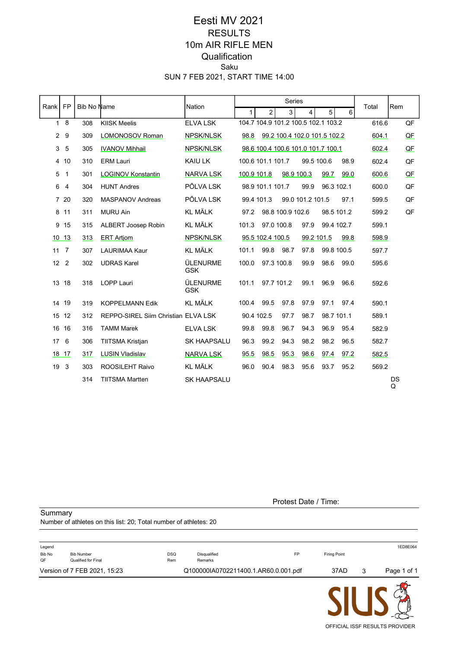## SUN 7 FEB 2021, START TIME 14:00 Saku **Qualification** 10m AIR RIFLE MEN RESULTS Eesti MV 2021

| <b>FP</b><br>Bib No Name<br>Nation<br>Rank I |                |     |                                     | Series                 |              |                   |                  | Total                               | Rem        |      |       |         |
|----------------------------------------------|----------------|-----|-------------------------------------|------------------------|--------------|-------------------|------------------|-------------------------------------|------------|------|-------|---------|
|                                              |                |     |                                     |                        | $\mathbf{1}$ | $\overline{2}$    | 3                | 4                                   | 5          | 6    |       |         |
| $\mathbf{1}$                                 | 8              | 308 | <b>KIISK Meelis</b>                 | <b>ELVALSK</b>         |              |                   |                  | 104.7 104.9 101.2 100.5 102.1 103.2 |            |      | 616.6 | QF      |
| $\overline{2}$                               | 9              | 309 | LOMONOSOV Roman                     | NPSK/NLSK              | 98.8         |                   |                  | 99.2 100.4 102.0 101.5 102.2        |            |      | 604.1 | QE      |
| 3                                            | 5              | 305 | <b>IVANOV Mihhail</b>               | NPSK/NLSK              |              |                   |                  | 98.6 100.4 100.6 101.0 101.7 100.1  |            |      | 602.4 | QE      |
|                                              | 4 10           | 310 | <b>ERM Lauri</b>                    | KAIU LK                |              | 100.6 101.1 101.7 |                  | 99.5 100.6                          |            | 98.9 | 602.4 | QF      |
| 5                                            | $\overline{1}$ | 301 | <b>LOGINOV Konstantin</b>           | <b>NARVA LSK</b>       | 100.9 101.8  |                   |                  | 98.9 100.3                          | 99.7       | 99.0 | 600.6 | QE      |
| 6                                            | $\overline{4}$ | 304 | <b>HUNT Andres</b>                  | PÕLVA LSK              |              | 98.9 101.1 101.7  |                  | 99.9                                | 96.3 102.1 |      | 600.0 | QF      |
|                                              | 7 20           | 320 | <b>MASPANOV Andreas</b>             | PÕLVA LSK              |              | 99.4 101.3        |                  | 99.0 101.2 101.5                    |            | 97.1 | 599.5 | QF      |
|                                              | 8 11           | 311 | <b>MURU Ain</b>                     | <b>KL MÄLK</b>         | 97.2         |                   | 98.8 100.9 102.6 |                                     | 98.5 101.2 |      | 599.2 | QF      |
|                                              | 9 15           | 315 | ALBERT Joosep Robin                 | <b>KL MÄLK</b>         | 101.3        | 97.0 100.8        |                  | 97.9                                | 99.4 102.7 |      | 599.1 |         |
|                                              | 10 13          | 313 | <b>ERT Artiom</b>                   | NPSK/NLSK              |              | 95.5 102.4 100.5  |                  | 99.2 101.5                          |            | 99.8 | 598.9 |         |
|                                              | $11 \quad 7$   | 307 | <b>LAURIMAA Kaur</b>                | <b>KL MÄLK</b>         | 101.1        | 99.8              | 98.7             | 97.8                                | 99.8 100.5 |      | 597.7 |         |
| 12 <sup>2</sup>                              | $\overline{2}$ | 302 | <b>UDRAS Karel</b>                  | ÜLENURME<br><b>GSK</b> | 100.0        | 97.3 100.8        |                  | 99.9                                | 98.6       | 99.0 | 595.6 |         |
| 13 <sup>2</sup>                              | 18             | 318 | <b>LOPP Lauri</b>                   | ÜLENURME<br><b>GSK</b> | 101.1        | 97.7 101.2        |                  | 99.1                                | 96.9       | 96.6 | 592.6 |         |
|                                              | 14 19          | 319 | <b>KOPPELMANN Edik</b>              | <b>KL MÄLK</b>         | 100.4        | 99.5              | 97.8             | 97.9                                | 97.1       | 97.4 | 590.1 |         |
|                                              | 15 12          | 312 | REPPO-SIREL Siim Christian ELVA LSK |                        | 90.4 102.5   |                   | 97.7             | 98.7                                | 98.7 101.1 |      | 589.1 |         |
|                                              | 16 16          | 316 | <b>TAMM Marek</b>                   | <b>ELVA LSK</b>        | 99.8         | 99.8              | 96.7             | 94.3                                | 96.9       | 95.4 | 582.9 |         |
| 17                                           | 6              | 306 | <b>TIITSMA Kristjan</b>             | <b>SK HAAPSALU</b>     | 96.3         | 99.2              | 94.3             | 98.2                                | 98.2       | 96.5 | 582.7 |         |
|                                              | 18 17          | 317 | <b>LUSIN Vladislav</b>              | <b>NARVA LSK</b>       | 95.5         | 98.5              | 95.3             | 98.6                                | 97.4       | 97.2 | 582.5 |         |
| 19                                           | 3              | 303 | ROOSILEHT Raivo                     | <b>KL MÄLK</b>         | 96.0         | 90.4              | 98.3             | 95.6                                | 93.7       | 95.2 | 569.2 |         |
|                                              |                | 314 | <b>TIITSMA Martten</b>              | <b>SK HAAPSALU</b>     |              |                   |                  |                                     |            |      |       | DS<br>Q |

**Summary** 

#### Protest Date / Time:

Number of athletes on this list: 20; Total number of athletes: 20

| Legend       |                                          |            |                                      |           |                     |   | 1ED8E064    |
|--------------|------------------------------------------|------------|--------------------------------------|-----------|---------------------|---|-------------|
| Bib No<br>QF | <b>Bib Number</b><br>Qualified for Final | DSQ<br>Rem | Disqualified<br>Remarks              | <b>FP</b> | <b>Firing Point</b> |   |             |
|              | Version of 7 FEB 2021, 15:23             |            | Q100000IA0702211400.1.AR60.0.001.pdf |           | 37AD                | 3 | Page 1 of 1 |
|              |                                          |            |                                      |           | ___                 |   |             |

 $\begin{pmatrix} 1 \\ -1 \\ 1 \end{pmatrix}$ **SIU**  $\bm{\mathsf{L}}$ OFFICIAL ISSF RESULTS PROVIDER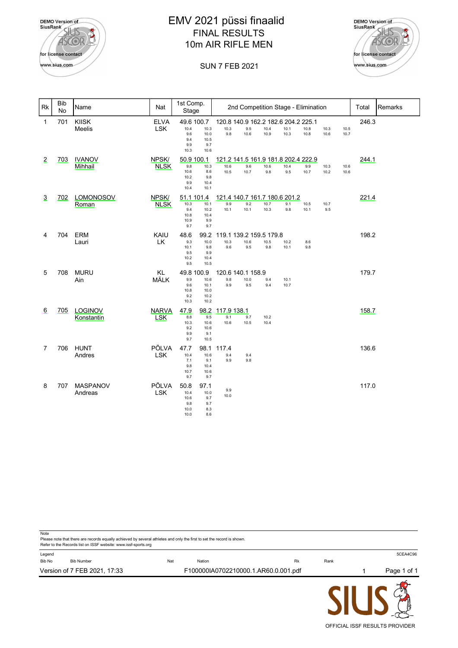| <b>DEMO</b> Version of<br><b>SiusRank</b> |
|-------------------------------------------|
| for license contact                       |
| www.sius.com                              |

# EMV 2021 püssi finaalid FINAL RESULTS 10m AIR RIFLE MEN



#### SUN 7 FEB 2021

| Rk             | <b>Bib</b><br>No | Name                         | Nat                        | 1st Comp.<br>Stage                                                                      | 2nd Competition Stage - Elimination<br>Total                                                                                                               | Remarks |
|----------------|------------------|------------------------------|----------------------------|-----------------------------------------------------------------------------------------|------------------------------------------------------------------------------------------------------------------------------------------------------------|---------|
| $\mathbf{1}$   | 701              | <b>KIISK</b><br>Meelis       | <b>ELVA</b><br><b>LSK</b>  | 49.6 100.7<br>10.3<br>10.4<br>9.6<br>10.0<br>9.4<br>10.5<br>9.9<br>9.7<br>10.3<br>10.6  | 246.3<br>120.8 140.9 162.2 182.6 204.2 225.1<br>10.3<br>9.5<br>10.4<br>10.1<br>10.8<br>10.3<br>10.5<br>9.8<br>10.6<br>10.9<br>10.3<br>10.8<br>10.6<br>10.7 |         |
| $\overline{2}$ | <u>703</u>       | <b>IVANOV</b><br>Mihhail     | NPSK/<br><b>NLSK</b>       | 50.9 100.1<br>10.3<br>9.8<br>10.6<br>8.6<br>10.2<br>9.8<br>9.9<br>10.4<br>10.4<br>10.1  | 121.2 141.5 161.9 181.8 202.4 222.9<br>244.1<br>9.6<br>10.6<br>10.4<br>10.6<br>9.9<br>10.3<br>10.6<br>10.7<br>10.5<br>10.7<br>9.8<br>9.5<br>10.2<br>10.6   |         |
| $\overline{3}$ | 702              | <b>LOMONOSOV</b><br>Roman    | NPSK/<br><b>NLSK</b>       | 51.1 101.4<br>10.3<br>10.1<br>9.4<br>10.2<br>10.8<br>10.4<br>10.9<br>9.9<br>9.7<br>9.7  | 121.4 140.7 161.7 180.6 201.2<br>221.4<br>9.9<br>9.2<br>10.7<br>9.1<br>10.5<br>10.7<br>10.1<br>10.1<br>10.3<br>9.8<br>10.1<br>9.5                          |         |
| 4              | 704              | <b>ERM</b><br>Lauri          | KAIU<br>LK                 | 48.6<br>99.2<br>10.0<br>9.3<br>10.1<br>9.8<br>9.5<br>9.9<br>10.2<br>10.4<br>9.5<br>10.5 | 198.2<br>119.1 139.2 159.5 179.8<br>10.3<br>10.6<br>10.5<br>10.2<br>8.6<br>9.6<br>9.5<br>9.8<br>10.1<br>9.8                                                |         |
| 5              | 708              | <b>MURU</b><br>Ain           | <b>KL</b><br>MÄLK          | 49.8 100.9<br>9.9<br>10.6<br>9.6<br>10.1<br>10.8<br>10.0<br>9.2<br>10.2<br>10.3<br>10.2 | 179.7<br>120.6 140.1 158.9<br>9.8<br>10.0<br>9.4<br>10.1<br>9.9<br>9.5<br>9.4<br>10.7                                                                      |         |
| 6              | 705              | <b>LOGINOV</b><br>Konstantin | <b>NARVA</b><br><b>LSK</b> | 47.9<br>98.2<br>8.8<br>9.5<br>10.3<br>10.6<br>9.2<br>10.6<br>9.9<br>9.1<br>9.7<br>10.5  | 158.7<br>117.9 138.1<br>9.1<br>9.7<br>10.2<br>10.6<br>10.5<br>10.4                                                                                         |         |
| $\overline{7}$ | 706              | <b>HUNT</b><br>Andres        | PÕLVA<br><b>LSK</b>        | 47.7<br>98.1<br>10.4<br>10.6<br>7.1<br>9.1<br>9.8<br>10.4<br>10.7<br>10.6<br>9.7<br>9.7 | 136.6<br>117.4<br>9.4<br>9.4<br>9.9<br>9.8                                                                                                                 |         |
| 8              | 707              | <b>MASPANOV</b><br>Andreas   | PÕLVA<br><b>LSK</b>        | 50.8<br>97.1<br>10.4<br>10.0<br>10.6<br>9.7<br>9.8<br>9.7<br>10.0<br>8.3<br>10.0<br>8.6 | 117.0<br>9.9<br>10.0                                                                                                                                       |         |

| Legend |                              |     |                                      |    |      | 5CEA4C96    |
|--------|------------------------------|-----|--------------------------------------|----|------|-------------|
| Bib No | <b>Bib Number</b>            | Nat | Nation                               | Rk | Rank |             |
|        | Version of 7 FEB 2021, 17:33 |     | F100000IA0702210000.1.AR60.0.001.pdf |    |      | Page 1 of 1 |

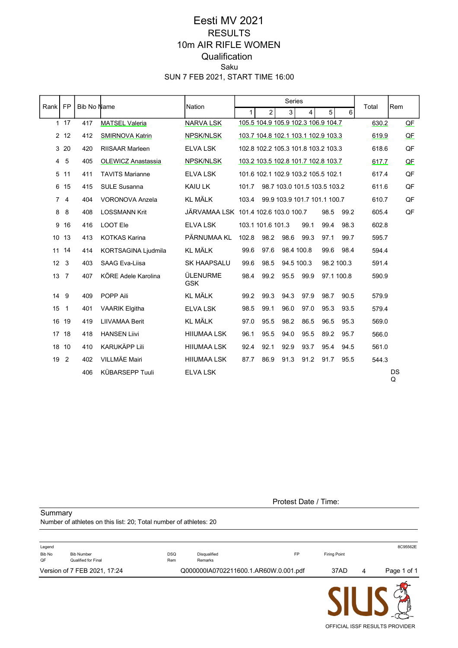## SUN 7 FEB 2021, START TIME 16:00 Saku **Qualification** 10m AIR RIFLE WOMEN RESULTS Eesti MV 2021

|                 | <b>FP</b>      | Bib No Name |                        | Nation                               |              |                                     | Series     |                              |            |      | Total | Rem     |
|-----------------|----------------|-------------|------------------------|--------------------------------------|--------------|-------------------------------------|------------|------------------------------|------------|------|-------|---------|
| Rank            |                |             |                        |                                      | $\mathbf{1}$ | $\overline{2}$                      | 3          | 4                            | 5          | 6    |       |         |
|                 | $1 \quad 17$   | 417         | <b>MATSEL Valeria</b>  | <b>NARVA LSK</b>                     |              | 105.5 104.9 105.9 102.3 106.9 104.7 |            |                              |            |      | 630.2 | QE      |
|                 | 2, 12          | 412         | <b>SMIRNOVA Katrin</b> | <b>NPSK/NLSK</b>                     |              | 103.7 104.8 102.1 103.1 102.9 103.3 |            |                              |            |      | 619.9 | QE      |
|                 | 320            | 420         | <b>RIISAAR Marleen</b> | <b>ELVA LSK</b>                      |              | 102.8 102.2 105.3 101.8 103.2 103.3 |            |                              |            |      | 618.6 | QF      |
|                 | $4\quad5$      | 405         | OLEWICZ Anastassia     | NPSK/NLSK                            |              | 103.2 103.5 102.8 101.7 102.8 103.7 |            |                              |            |      | 617.7 | QE      |
|                 | 5 11           | 411         | <b>TAVITS Marianne</b> | <b>ELVA LSK</b>                      |              | 101.6 102.1 102.9 103.2 105.5 102.1 |            |                              |            |      | 617.4 | QF      |
|                 | 6 15           | 415         | <b>SULE Susanna</b>    | KAIU LK                              | 101.7        |                                     |            | 98.7 103.0 101.5 103.5 103.2 |            |      | 611.6 | QF      |
|                 | 74             | 404         | <b>VORONOVA Anzela</b> | <b>KL MÄLK</b>                       | 103.4        |                                     |            | 99.9 103.9 101.7 101.1 100.7 |            |      | 610.7 | QF      |
| 8               | 8              | 408         | <b>LOSSMANN Krit</b>   | JÄRVAMAA LSK 101.4 102.6 103.0 100.7 |              |                                     |            |                              | 98.5       | 99.2 | 605.4 | QF      |
| 9               | 16             | 416         | <b>LOOT Ele</b>        | <b>ELVA LSK</b>                      |              | 103.1 101.6 101.3                   |            | 99.1                         | 99.4       | 98.3 | 602.8 |         |
|                 | 10 13          | 413         | <b>KOTKAS Karina</b>   | PÄRNUMAA KL                          | 102.8        | 98.2                                | 98.6       | 99.3                         | 97.1       | 99.7 | 595.7 |         |
| 11              | 14             | 414         | KORTSAGINA Ljudmila    | <b>KL MÄLK</b>                       | 99.6         | 97.6                                | 98.4 100.8 |                              | 99.6       | 98.4 | 594.4 |         |
| 12 <sup>2</sup> | 3              | 403         | <b>SAAG Eva-Liisa</b>  | <b>SK HAAPSALU</b>                   | 99.6         | 98.5                                | 94.5 100.3 |                              | 98.2 100.3 |      | 591.4 |         |
| 13 <sub>7</sub> |                | 407         | KÕRE Adele Karolina    | ÜLENURME<br><b>GSK</b>               | 98.4         | 99.2                                | 95.5       | 99.9                         | 97.1 100.8 |      | 590.9 |         |
| 14              | 9              | 409         | POPP Aili              | <b>KL MÄLK</b>                       | 99.2         | 99.3                                | 94.3       | 97.9                         | 98.7       | 90.5 | 579.9 |         |
| 15              | 1              | 401         | <b>VAARIK Elgitha</b>  | <b>ELVA LSK</b>                      | 98.5         | 99.1                                | 96.0       | 97.0                         | 95.3       | 93.5 | 579.4 |         |
|                 | 16 19          | 419         | <b>LIIVAMAA Berit</b>  | <b>KL MÄLK</b>                       | 97.0         | 95.5                                | 98.2       | 86.5                         | 96.5       | 95.3 | 569.0 |         |
|                 | 17 18          | 418         | <b>HANSEN Liivi</b>    | <b>HIIUMAA LSK</b>                   | 96.1         | 95.5                                | 94.0       | 95.5                         | 89.2       | 95.7 | 566.0 |         |
|                 | 18 10          | 410         | <b>KARUKÄPP Lili</b>   | <b>HIIUMAA LSK</b>                   | 92.4         | 92.1                                | 92.9       | 93.7                         | 95.4       | 94.5 | 561.0 |         |
| 19              | $\overline{2}$ | 402         | VILLMÄE Mairi          | <b>HIIUMAA LSK</b>                   | 87.7         | 86.9                                | 91.3       | 91.2                         | 91.7       | 95.5 | 544.3 |         |
|                 |                | 406         | <b>KÜBARSEPP Tuuli</b> | <b>ELVA LSK</b>                      |              |                                     |            |                              |            |      |       | DS<br>Q |

**Summary** 

#### Protest Date / Time:

Number of athletes on this list: 20; Total number of athletes: 20

|        | Version of 7 FEB 2021, 17:24 |      | Q000000IA0702211600.1.AR60W.0.001.pdf |    | 37AD         | 4 | Page 1 of 1 |
|--------|------------------------------|------|---------------------------------------|----|--------------|---|-------------|
| QF     | Qualified for Final          | Rem  | Remarks                               |    |              |   |             |
| Bib No | <b>Bib Number</b>            | DSQ. | Disqualified                          | FP | Firing Point |   |             |
| Legend |                              |      |                                       |    |              |   | 8C95562E    |

SIU OFFICIAL ISSF RESULTS PROVIDER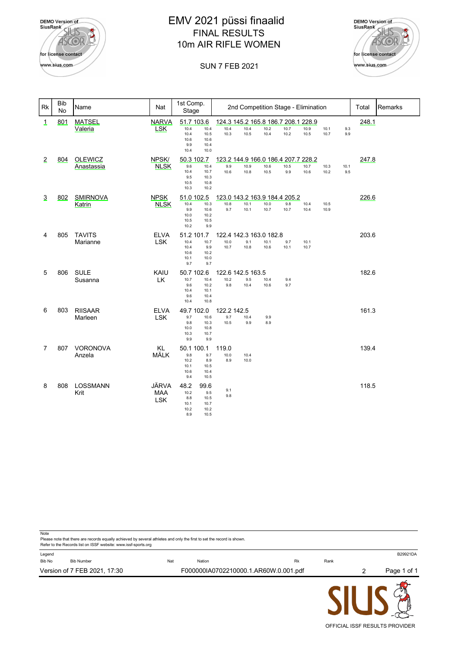

# EMV 2021 püssi finaalid FINAL RESULTS 10m AIR RIFLE WOMEN





| <b>Rk</b>      | <b>Bib</b><br>No | Name                         | Nat                        | 1st Comp.<br>Stage                                                                        |            |                            | 2nd Competition Stage - Elimination                 |              |              |              |              |             | Total | Remarks |
|----------------|------------------|------------------------------|----------------------------|-------------------------------------------------------------------------------------------|------------|----------------------------|-----------------------------------------------------|--------------|--------------|--------------|--------------|-------------|-------|---------|
| <u>1</u>       | 801              | <b>MATSEL</b><br>Valeria     | <b>NARVA</b><br><b>LSK</b> | 51.7 103.6<br>10.4<br>10.4<br>10.5<br>10.4<br>10.6<br>10.6<br>9.9<br>10.4<br>10.4<br>10.0 |            | 10.4<br>10.3               | 124.3 145.2 165.8 186.7 208.1 228.9<br>10.4<br>10.5 | 10.2<br>10.4 | 10.7<br>10.2 | 10.9<br>10.5 | 10.1<br>10.7 | 9.3<br>9.9  | 248.1 |         |
| $\overline{2}$ | 804              | <b>OLEWICZ</b><br>Anastassia | NPSK/<br><b>NLSK</b>       | 50.3 102.7<br>9.6<br>10.4<br>10.4<br>10.7<br>9.5<br>10.3<br>10.5<br>10.8<br>10.3<br>10.2  |            | 9.9<br>10.6                | 123.2 144.9 166.0 186.4 207.7 228.2<br>10.9<br>10.8 | 10.6<br>10.5 | 10.5<br>9.9  | 10.7<br>10.6 | 10.3<br>10.2 | 10.1<br>9.5 | 247.8 |         |
| 3              | 802              | <b>SMIRNOVA</b><br>Katrin    | <b>NPSK</b><br><b>NLSK</b> | 51.0 102.5<br>10.3<br>10.4<br>9.9<br>10.6<br>10.0<br>10.2<br>10.5<br>10.5<br>10.2         | 9.9        | 10.8<br>9.7                | 123.0 143.2 163.9 184.4 205.2<br>10.1<br>10.1       | 10.0<br>10.7 | 9.8<br>10.7  | 10.4<br>10.4 | 10.5<br>10.9 |             | 226.6 |         |
| 4              | 805              | <b>TAVITS</b><br>Marianne    | <b>ELVA</b><br><b>LSK</b>  | 51.2 101.7<br>10.4<br>10.7<br>10.4<br>10.6<br>10.2<br>10.1<br>10.0<br>9.7                 | 9.9<br>9.7 | 10.0<br>10.7               | 122.4 142.3 163.0 182.8<br>9.1<br>10.8              | 10.1<br>10.6 | 9.7<br>10.1  | 10.1<br>10.7 |              |             | 203.6 |         |
| 5              | 806              | <b>SULE</b><br>Susanna       | KAIU<br>LK                 | 50.7 102.6<br>10.7<br>10.4<br>9.6<br>10.2<br>10.4<br>10.1<br>9.6<br>10.4<br>10.4<br>10.8  |            | 10.2<br>9.8                | 122.6 142.5 163.5<br>9.5<br>10.4                    | 10.4<br>10.6 | 9.4<br>9.7   |              |              |             | 182.6 |         |
| 6              | 803              | <b>RIISAAR</b><br>Marleen    | <b>ELVA</b><br><b>LSK</b>  | 49.7 102.0<br>9.7<br>10.6<br>9.8<br>10.3<br>10.0<br>10.8<br>10.3<br>10.7<br>9.9           | 9.9        | 122.2 142.5<br>9.7<br>10.5 | 10.4<br>9.9                                         | 9.9<br>8.9   |              |              |              |             | 161.3 |         |
| $\overline{7}$ | 807              | VORONOVA<br>Anzela           | KL<br>MÄLK                 | 50.1 100.1<br>9.8<br>10.2<br>10.1<br>10.5<br>10.6<br>10.4<br>9.4<br>10.5                  | 9.7<br>8.9 | 119.0<br>10.0<br>8.9       | 10.4<br>10.0                                        |              |              |              |              |             | 139.4 |         |
| 8              | 808              | <b>LOSSMANN</b><br>Krit      | JÄRVA<br><b>MAA</b><br>LSK | 48.2<br>99.6<br>10.2<br>8.8<br>10.5<br>10.1<br>10.7<br>10.2<br>10.2<br>8.9<br>10.5        | 9.5        | 9.1<br>9.8                 |                                                     |              |              |              |              |             | 118.5 |         |

|                  | Refer to the Records list on ISSF website: www.issf-sports.org |     |                                       |           |      |   |             |
|------------------|----------------------------------------------------------------|-----|---------------------------------------|-----------|------|---|-------------|
| Legend<br>Bib No | <b>Bib Number</b>                                              | Nat | Nation                                | <b>Rk</b> | Rank |   | B29921DA    |
|                  | Version of 7 FEB 2021, 17:30                                   |     | F000000IA0702210000.1.AR60W.0.001.pdf |           |      | 2 | Page 1 of 1 |

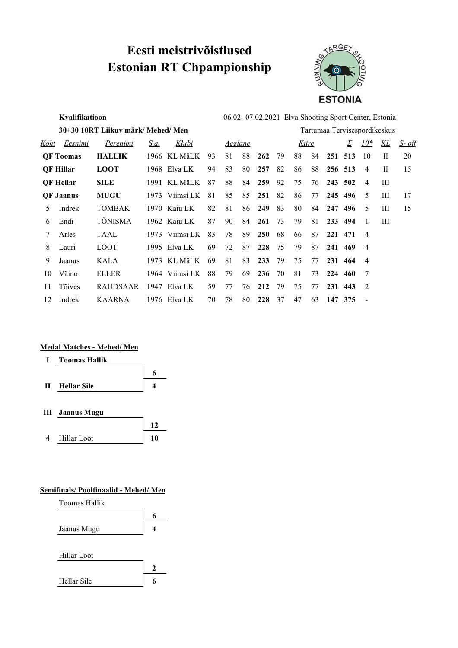# **Eesti meistrivõistlused Estonian RT Chpampionship**



|      | Kvalifikatioon   |                                    |      | 06.02-07.02.2021 Elva Shooting Sport Center, Estonia |     |    |                |            |    |    |       |     |                              |                |    |               |
|------|------------------|------------------------------------|------|------------------------------------------------------|-----|----|----------------|------------|----|----|-------|-----|------------------------------|----------------|----|---------------|
|      |                  | 30+30 10RT Liikuv märk/ Mehed/ Men |      |                                                      |     |    |                |            |    |    |       |     | Tartumaa Tervisespordikeskus |                |    |               |
| Koht | Eesnimi          | Perenimi                           | S.a. | <u>Klubi</u>                                         |     |    | <u>Aeglane</u> |            |    |    | Kiire |     | Σ                            | $10^*$         | KL | <u>S- off</u> |
|      | <b>QF</b> Toomas | <b>HALLIK</b>                      |      | 1966 KL MäLK                                         | 93  | 81 | 88             | 262        | 79 | 88 | 84    | 251 | 513                          | 10             | H  | 20            |
|      | <b>QF Hillar</b> | <b>LOOT</b>                        |      | 1968 Elva LK                                         | 94  | 83 | 80             | 257        | 82 | 86 | 88    |     | 256 513                      | 4              | H  | 15            |
|      | <b>QF</b> Hellar | <b>SILE</b>                        |      | 1991 KL MäLK                                         | 87  | 88 | 84             | 259        | 92 | 75 | 76    | 243 | 502                          | 4              | Ш  |               |
|      | <b>QF Jaanus</b> | <b>MUGU</b>                        |      | 1973 Viimsi LK                                       | 81  | 85 | 85             | 251        | 82 | 86 | 77    |     | 245 496                      | -5             | Ш  | 17            |
| 5    | Indrek           | <b>TOMBAK</b>                      |      | 1970 Kaiu LK                                         | 82  | 81 | 86             | 249        | 83 | 80 | 84    | 247 | 496                          | .5             | Ш  | 15            |
| 6    | Endi             | <b>TÕNISMA</b>                     |      | 1962 Kaju LK                                         | 87  | 90 | 84             | 261        | 73 | 79 | 81    | 233 | 494                          |                | Ш  |               |
| 7    | Arles            | TAAL                               |      | 1973 Viimsi LK                                       | 83  | 78 | 89             | <b>250</b> | 68 | 66 | 87    | 221 | 471                          | $\overline{4}$ |    |               |
| 8    | Lauri            | <b>LOOT</b>                        |      | 1995 Elva LK                                         | 69  | 72 | 87             | 228        | 75 | 79 | 87    | 241 | 469                          | $\overline{4}$ |    |               |
| 9    | Jaanus           | KALA                               |      | 1973 KL MäLK                                         | -69 | 81 | 83             | 233        | 79 | 75 | 77    | 231 | 464                          | $\overline{4}$ |    |               |
| 10   | Väino            | <b>ELLER</b>                       |      | 1964 Viimsi LK                                       | 88  | 79 | 69             | 236        | 70 | 81 | 73    | 224 | 460                          | -7             |    |               |
| 11   | <b>Tõives</b>    | <b>RAUDSAAR</b>                    |      | 1947 Elva LK                                         | 59  | 77 | 76             | 212        | 79 | 75 | 77    | 231 | 443                          | 2              |    |               |
| 12   | Indrek           | <b>KAARNA</b>                      |      | 1976 Elva LK                                         | 70  | 78 | 80             | 228        | 37 | 47 | 63    | 147 | 375                          |                |    |               |

#### **Medal Matches - Mehed/ Men**



- **III Jaanus Mugu**
- **12** 4 Hillar Loot **10**

#### **Semifinals/ Poolfinaalid - Mehed/ Men**